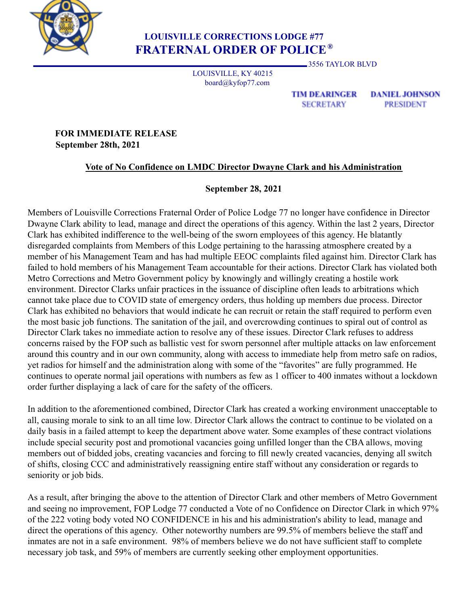

## **LOUISVILLE CORRECTIONS LODGE #77 FRATERNAL ORDER OF POLICE ®**

3556 TAYLOR BLVD

LOUISVILLE, KY 40215 board@kyfop77.com

> **TIM DEARINGER SECRETARY**

**DANIEL JOHNSON PRESIDENT** 

**FOR IMMEDIATE RELEASE September 28th, 2021**

## **Vote of No Confidence on LMDC Director Dwayne Clark and his Administration**

## **September 28, 2021**

Members of Louisville Corrections Fraternal Order of Police Lodge 77 no longer have confidence in Director Dwayne Clark ability to lead, manage and direct the operations of this agency. Within the last 2 years, Director Clark has exhibited indifference to the well-being of the sworn employees of this agency. He blatantly disregarded complaints from Members of this Lodge pertaining to the harassing atmosphere created by a member of his Management Team and has had multiple EEOC complaints filed against him. Director Clark has failed to hold members of his Management Team accountable for their actions. Director Clark has violated both Metro Corrections and Metro Government policy by knowingly and willingly creating a hostile work environment. Director Clarks unfair practices in the issuance of discipline often leads to arbitrations which cannot take place due to COVID state of emergency orders, thus holding up members due process. Director Clark has exhibited no behaviors that would indicate he can recruit or retain the staff required to perform even the most basic job functions. The sanitation of the jail, and overcrowding continues to spiral out of control as Director Clark takes no immediate action to resolve any of these issues. Director Clark refuses to address concerns raised by the FOP such as ballistic vest for sworn personnel after multiple attacks on law enforcement around this country and in our own community, along with access to immediate help from metro safe on radios, yet radios for himself and the administration along with some of the "favorites" are fully programmed. He continues to operate normal jail operations with numbers as few as 1 officer to 400 inmates without a lockdown order further displaying a lack of care for the safety of the officers.

In addition to the aforementioned combined, Director Clark has created a working environment unacceptable to all, causing morale to sink to an all time low. Director Clark allows the contract to continue to be violated on a daily basis in a failed attempt to keep the department above water. Some examples of these contract violations include special security post and promotional vacancies going unfilled longer than the CBA allows, moving members out of bidded jobs, creating vacancies and forcing to fill newly created vacancies, denying all switch of shifts, closing CCC and administratively reassigning entire staff without any consideration or regards to seniority or job bids.

As a result, after bringing the above to the attention of Director Clark and other members of Metro Government and seeing no improvement, FOP Lodge 77 conducted a Vote of no Confidence on Director Clark in which 97% of the 222 voting body voted NO CONFIDENCE in his and his administration's ability to lead, manage and direct the operations of this agency. Other noteworthy numbers are 99.5% of members believe the staff and inmates are not in a safe environment. 98% of members believe we do not have sufficient staff to complete necessary job task, and 59% of members are currently seeking other employment opportunities.